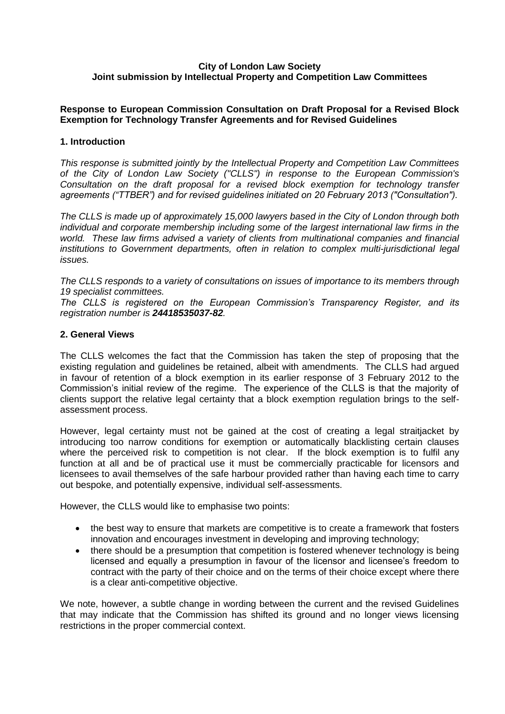## **City of London Law Society Joint submission by Intellectual Property and Competition Law Committees**

## **Response to European Commission Consultation on Draft Proposal for a Revised Block Exemption for Technology Transfer Agreements and for Revised Guidelines**

## **1. Introduction**

*This response is submitted jointly by the Intellectual Property and Competition Law Committees of the City of London Law Society ("CLLS") in response to the European Commission's Consultation on the draft proposal for a revised block exemption for technology transfer agreements ("TTBER") and for revised guidelines initiated on 20 February 2013 ("Consultation").*

*The CLLS is made up of approximately 15,000 lawyers based in the City of London through both individual and corporate membership including some of the largest international law firms in the world. These law firms advised a variety of clients from multinational companies and financial institutions to Government departments, often in relation to complex multi-jurisdictional legal issues.*

*The CLLS responds to a variety of consultations on issues of importance to its members through 19 specialist committees.* 

*The CLLS is registered on the European Commission's Transparency Register, and its registration number is 24418535037-82.*

### **2. General Views**

The CLLS welcomes the fact that the Commission has taken the step of proposing that the existing regulation and guidelines be retained, albeit with amendments. The CLLS had argued in favour of retention of a block exemption in its earlier response of 3 February 2012 to the Commission's initial review of the regime. The experience of the CLLS is that the majority of clients support the relative legal certainty that a block exemption regulation brings to the selfassessment process.

However, legal certainty must not be gained at the cost of creating a legal straitjacket by introducing too narrow conditions for exemption or automatically blacklisting certain clauses where the perceived risk to competition is not clear. If the block exemption is to fulfil any function at all and be of practical use it must be commercially practicable for licensors and licensees to avail themselves of the safe harbour provided rather than having each time to carry out bespoke, and potentially expensive, individual self-assessments.

However, the CLLS would like to emphasise two points:

- the best way to ensure that markets are competitive is to create a framework that fosters innovation and encourages investment in developing and improving technology;
- there should be a presumption that competition is fostered whenever technology is being licensed and equally a presumption in favour of the licensor and licensee's freedom to contract with the party of their choice and on the terms of their choice except where there is a clear anti-competitive objective.

We note, however, a subtle change in wording between the current and the revised Guidelines that may indicate that the Commission has shifted its ground and no longer views licensing restrictions in the proper commercial context.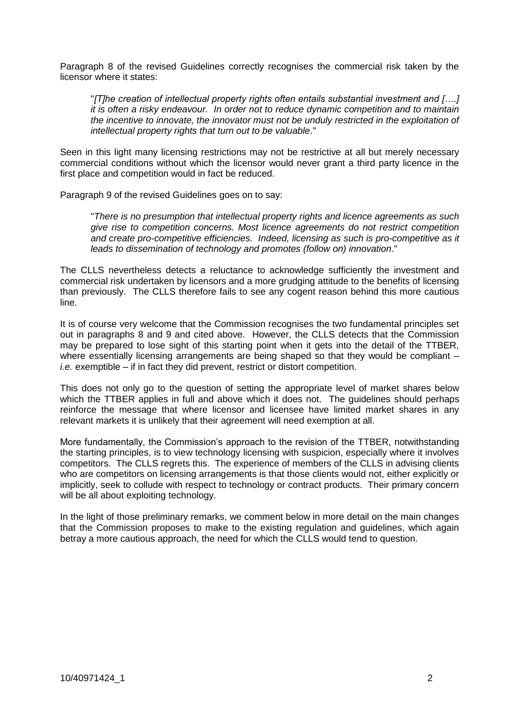Paragraph 8 of the revised Guidelines correctly recognises the commercial risk taken by the licensor where it states:

"*[T]he creation of intellectual property rights often entails substantial investment and [….] it is often a risky endeavour. In order not to reduce dynamic competition and to maintain the incentive to innovate, the innovator must not be unduly restricted in the exploitation of intellectual property rights that turn out to be valuable*."

Seen in this light many licensing restrictions may not be restrictive at all but merely necessary commercial conditions without which the licensor would never grant a third party licence in the first place and competition would in fact be reduced.

Paragraph 9 of the revised Guidelines goes on to say:

"*There is no presumption that intellectual property rights and licence agreements as such give rise to competition concerns. Most licence agreements do not restrict competition and create pro-competitive efficiencies. Indeed, licensing as such is pro-competitive as it leads to dissemination of technology and promotes (follow on) innovation*."

The CLLS nevertheless detects a reluctance to acknowledge sufficiently the investment and commercial risk undertaken by licensors and a more grudging attitude to the benefits of licensing than previously. The CLLS therefore fails to see any cogent reason behind this more cautious line.

It is of course very welcome that the Commission recognises the two fundamental principles set out in paragraphs 8 and 9 and cited above. However, the CLLS detects that the Commission may be prepared to lose sight of this starting point when it gets into the detail of the TTBER, where essentially licensing arrangements are being shaped so that they would be compliant – *i.e.* exemptible – if in fact they did prevent, restrict or distort competition.

This does not only go to the question of setting the appropriate level of market shares below which the TTBER applies in full and above which it does not. The guidelines should perhaps reinforce the message that where licensor and licensee have limited market shares in any relevant markets it is unlikely that their agreement will need exemption at all.

More fundamentally, the Commission's approach to the revision of the TTBER, notwithstanding the starting principles, is to view technology licensing with suspicion, especially where it involves competitors. The CLLS regrets this. The experience of members of the CLLS in advising clients who are competitors on licensing arrangements is that those clients would not, either explicitly or implicitly, seek to collude with respect to technology or contract products. Their primary concern will be all about exploiting technology.

In the light of those preliminary remarks, we comment below in more detail on the main changes that the Commission proposes to make to the existing regulation and guidelines, which again betray a more cautious approach, the need for which the CLLS would tend to question.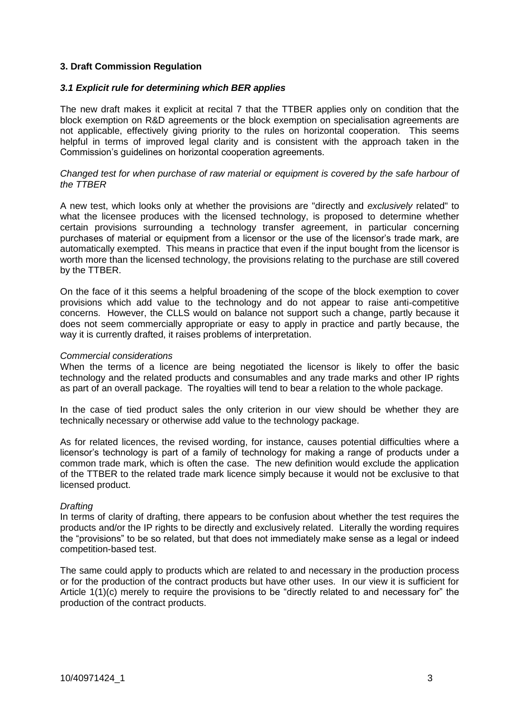## **3. Draft Commission Regulation**

### *3.1 Explicit rule for determining which BER applies*

The new draft makes it explicit at recital 7 that the TTBER applies only on condition that the block exemption on R&D agreements or the block exemption on specialisation agreements are not applicable, effectively giving priority to the rules on horizontal cooperation. This seems helpful in terms of improved legal clarity and is consistent with the approach taken in the Commission's guidelines on horizontal cooperation agreements.

### *Changed test for when purchase of raw material or equipment is covered by the safe harbour of the TTBER*

A new test, which looks only at whether the provisions are "directly and *exclusively* related" to what the licensee produces with the licensed technology, is proposed to determine whether certain provisions surrounding a technology transfer agreement, in particular concerning purchases of material or equipment from a licensor or the use of the licensor's trade mark, are automatically exempted. This means in practice that even if the input bought from the licensor is worth more than the licensed technology, the provisions relating to the purchase are still covered by the TTBER.

On the face of it this seems a helpful broadening of the scope of the block exemption to cover provisions which add value to the technology and do not appear to raise anti-competitive concerns. However, the CLLS would on balance not support such a change, partly because it does not seem commercially appropriate or easy to apply in practice and partly because, the way it is currently drafted, it raises problems of interpretation.

#### *Commercial considerations*

When the terms of a licence are being negotiated the licensor is likely to offer the basic technology and the related products and consumables and any trade marks and other IP rights as part of an overall package. The royalties will tend to bear a relation to the whole package.

In the case of tied product sales the only criterion in our view should be whether they are technically necessary or otherwise add value to the technology package.

As for related licences, the revised wording, for instance, causes potential difficulties where a licensor's technology is part of a family of technology for making a range of products under a common trade mark, which is often the case. The new definition would exclude the application of the TTBER to the related trade mark licence simply because it would not be exclusive to that licensed product.

#### *Drafting*

In terms of clarity of drafting, there appears to be confusion about whether the test requires the products and/or the IP rights to be directly and exclusively related. Literally the wording requires the "provisions" to be so related, but that does not immediately make sense as a legal or indeed competition-based test.

The same could apply to products which are related to and necessary in the production process or for the production of the contract products but have other uses. In our view it is sufficient for Article 1(1)(c) merely to require the provisions to be "directly related to and necessary for" the production of the contract products.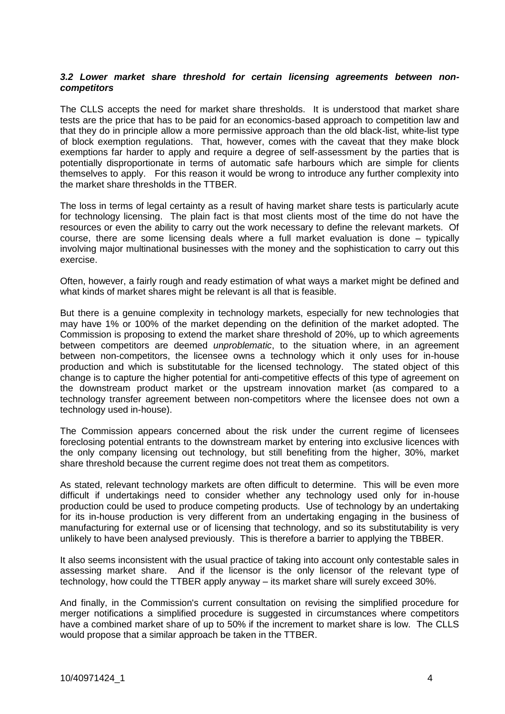### *3.2 Lower market share threshold for certain licensing agreements between noncompetitors*

The CLLS accepts the need for market share thresholds. It is understood that market share tests are the price that has to be paid for an economics-based approach to competition law and that they do in principle allow a more permissive approach than the old black-list, white-list type of block exemption regulations. That, however, comes with the caveat that they make block exemptions far harder to apply and require a degree of self-assessment by the parties that is potentially disproportionate in terms of automatic safe harbours which are simple for clients themselves to apply. For this reason it would be wrong to introduce any further complexity into the market share thresholds in the TTBER.

The loss in terms of legal certainty as a result of having market share tests is particularly acute for technology licensing. The plain fact is that most clients most of the time do not have the resources or even the ability to carry out the work necessary to define the relevant markets. Of course, there are some licensing deals where a full market evaluation is done – typically involving major multinational businesses with the money and the sophistication to carry out this exercise.

Often, however, a fairly rough and ready estimation of what ways a market might be defined and what kinds of market shares might be relevant is all that is feasible.

But there is a genuine complexity in technology markets, especially for new technologies that may have 1% or 100% of the market depending on the definition of the market adopted. The Commission is proposing to extend the market share threshold of 20%, up to which agreements between competitors are deemed *unproblematic*, to the situation where, in an agreement between non-competitors, the licensee owns a technology which it only uses for in-house production and which is substitutable for the licensed technology. The stated object of this change is to capture the higher potential for anti-competitive effects of this type of agreement on the downstream product market or the upstream innovation market (as compared to a technology transfer agreement between non-competitors where the licensee does not own a technology used in-house).

The Commission appears concerned about the risk under the current regime of licensees foreclosing potential entrants to the downstream market by entering into exclusive licences with the only company licensing out technology, but still benefiting from the higher, 30%, market share threshold because the current regime does not treat them as competitors.

As stated, relevant technology markets are often difficult to determine. This will be even more difficult if undertakings need to consider whether any technology used only for in-house production could be used to produce competing products. Use of technology by an undertaking for its in-house production is very different from an undertaking engaging in the business of manufacturing for external use or of licensing that technology, and so its substitutability is very unlikely to have been analysed previously. This is therefore a barrier to applying the TBBER.

It also seems inconsistent with the usual practice of taking into account only contestable sales in assessing market share. And if the licensor is the only licensor of the relevant type of technology, how could the TTBER apply anyway – its market share will surely exceed 30%.

And finally, in the Commission's current consultation on revising the simplified procedure for merger notifications a simplified procedure is suggested in circumstances where competitors have a combined market share of up to 50% if the increment to market share is low. The CLLS would propose that a similar approach be taken in the TTBER.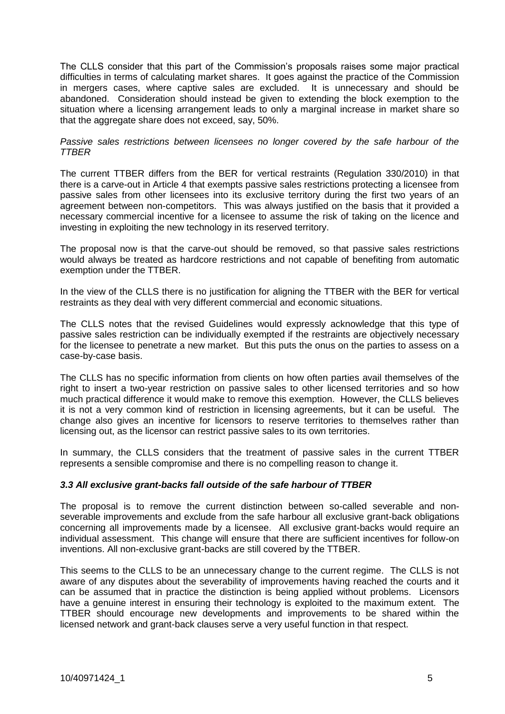The CLLS consider that this part of the Commission's proposals raises some major practical difficulties in terms of calculating market shares. It goes against the practice of the Commission in mergers cases, where captive sales are excluded. It is unnecessary and should be abandoned. Consideration should instead be given to extending the block exemption to the situation where a licensing arrangement leads to only a marginal increase in market share so that the aggregate share does not exceed, say, 50%.

*Passive sales restrictions between licensees no longer covered by the safe harbour of the TTBER*

The current TTBER differs from the BER for vertical restraints (Regulation 330/2010) in that there is a carve-out in Article 4 that exempts passive sales restrictions protecting a licensee from passive sales from other licensees into its exclusive territory during the first two years of an agreement between non-competitors. This was always justified on the basis that it provided a necessary commercial incentive for a licensee to assume the risk of taking on the licence and investing in exploiting the new technology in its reserved territory.

The proposal now is that the carve-out should be removed, so that passive sales restrictions would always be treated as hardcore restrictions and not capable of benefiting from automatic exemption under the TTBER.

In the view of the CLLS there is no justification for aligning the TTBER with the BER for vertical restraints as they deal with very different commercial and economic situations.

The CLLS notes that the revised Guidelines would expressly acknowledge that this type of passive sales restriction can be individually exempted if the restraints are objectively necessary for the licensee to penetrate a new market. But this puts the onus on the parties to assess on a case-by-case basis.

The CLLS has no specific information from clients on how often parties avail themselves of the right to insert a two-year restriction on passive sales to other licensed territories and so how much practical difference it would make to remove this exemption. However, the CLLS believes it is not a very common kind of restriction in licensing agreements, but it can be useful. The change also gives an incentive for licensors to reserve territories to themselves rather than licensing out, as the licensor can restrict passive sales to its own territories.

In summary, the CLLS considers that the treatment of passive sales in the current TTBER represents a sensible compromise and there is no compelling reason to change it.

## *3.3 All exclusive grant-backs fall outside of the safe harbour of TTBER*

The proposal is to remove the current distinction between so-called severable and nonseverable improvements and exclude from the safe harbour all exclusive grant-back obligations concerning all improvements made by a licensee. All exclusive grant-backs would require an individual assessment. This change will ensure that there are sufficient incentives for follow-on inventions. All non-exclusive grant-backs are still covered by the TTBER.

This seems to the CLLS to be an unnecessary change to the current regime. The CLLS is not aware of any disputes about the severability of improvements having reached the courts and it can be assumed that in practice the distinction is being applied without problems. Licensors have a genuine interest in ensuring their technology is exploited to the maximum extent. The TTBER should encourage new developments and improvements to be shared within the licensed network and grant-back clauses serve a very useful function in that respect.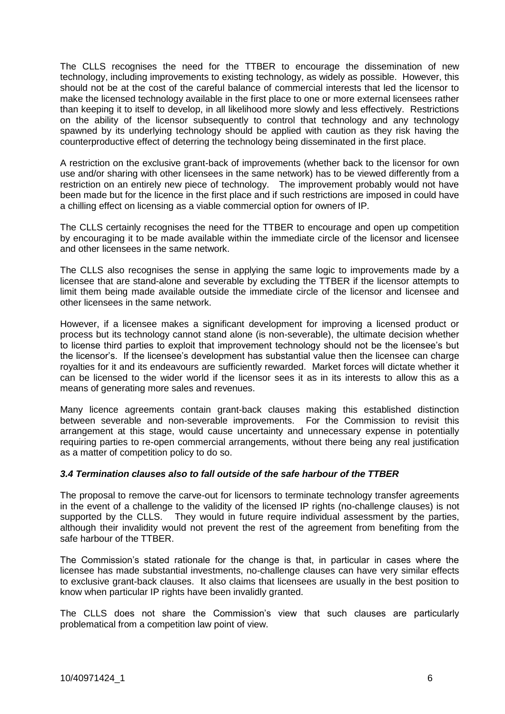The CLLS recognises the need for the TTBER to encourage the dissemination of new technology, including improvements to existing technology, as widely as possible. However, this should not be at the cost of the careful balance of commercial interests that led the licensor to make the licensed technology available in the first place to one or more external licensees rather than keeping it to itself to develop, in all likelihood more slowly and less effectively. Restrictions on the ability of the licensor subsequently to control that technology and any technology spawned by its underlying technology should be applied with caution as they risk having the counterproductive effect of deterring the technology being disseminated in the first place.

A restriction on the exclusive grant-back of improvements (whether back to the licensor for own use and/or sharing with other licensees in the same network) has to be viewed differently from a restriction on an entirely new piece of technology. The improvement probably would not have been made but for the licence in the first place and if such restrictions are imposed in could have a chilling effect on licensing as a viable commercial option for owners of IP.

The CLLS certainly recognises the need for the TTBER to encourage and open up competition by encouraging it to be made available within the immediate circle of the licensor and licensee and other licensees in the same network.

The CLLS also recognises the sense in applying the same logic to improvements made by a licensee that are stand-alone and severable by excluding the TTBER if the licensor attempts to limit them being made available outside the immediate circle of the licensor and licensee and other licensees in the same network.

However, if a licensee makes a significant development for improving a licensed product or process but its technology cannot stand alone (is non-severable), the ultimate decision whether to license third parties to exploit that improvement technology should not be the licensee's but the licensor's. If the licensee's development has substantial value then the licensee can charge royalties for it and its endeavours are sufficiently rewarded. Market forces will dictate whether it can be licensed to the wider world if the licensor sees it as in its interests to allow this as a means of generating more sales and revenues.

Many licence agreements contain grant-back clauses making this established distinction between severable and non-severable improvements. For the Commission to revisit this arrangement at this stage, would cause uncertainty and unnecessary expense in potentially requiring parties to re-open commercial arrangements, without there being any real justification as a matter of competition policy to do so.

## *3.4 Termination clauses also to fall outside of the safe harbour of the TTBER*

The proposal to remove the carve-out for licensors to terminate technology transfer agreements in the event of a challenge to the validity of the licensed IP rights (no-challenge clauses) is not supported by the CLLS. They would in future require individual assessment by the parties, although their invalidity would not prevent the rest of the agreement from benefiting from the safe harbour of the TTBER.

The Commission's stated rationale for the change is that, in particular in cases where the licensee has made substantial investments, no-challenge clauses can have very similar effects to exclusive grant-back clauses. It also claims that licensees are usually in the best position to know when particular IP rights have been invalidly granted.

The CLLS does not share the Commission's view that such clauses are particularly problematical from a competition law point of view.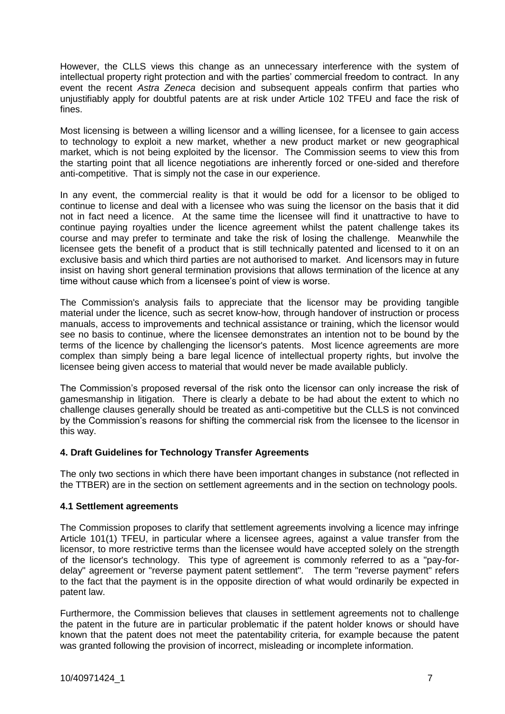However, the CLLS views this change as an unnecessary interference with the system of intellectual property right protection and with the parties' commercial freedom to contract. In any event the recent *Astra Zeneca* decision and subsequent appeals confirm that parties who unjustifiably apply for doubtful patents are at risk under Article 102 TFEU and face the risk of fines.

Most licensing is between a willing licensor and a willing licensee, for a licensee to gain access to technology to exploit a new market, whether a new product market or new geographical market, which is not being exploited by the licensor. The Commission seems to view this from the starting point that all licence negotiations are inherently forced or one-sided and therefore anti-competitive. That is simply not the case in our experience.

In any event, the commercial reality is that it would be odd for a licensor to be obliged to continue to license and deal with a licensee who was suing the licensor on the basis that it did not in fact need a licence. At the same time the licensee will find it unattractive to have to continue paying royalties under the licence agreement whilst the patent challenge takes its course and may prefer to terminate and take the risk of losing the challenge. Meanwhile the licensee gets the benefit of a product that is still technically patented and licensed to it on an exclusive basis and which third parties are not authorised to market. And licensors may in future insist on having short general termination provisions that allows termination of the licence at any time without cause which from a licensee's point of view is worse.

The Commission's analysis fails to appreciate that the licensor may be providing tangible material under the licence, such as secret know-how, through handover of instruction or process manuals, access to improvements and technical assistance or training, which the licensor would see no basis to continue, where the licensee demonstrates an intention not to be bound by the terms of the licence by challenging the licensor's patents. Most licence agreements are more complex than simply being a bare legal licence of intellectual property rights, but involve the licensee being given access to material that would never be made available publicly.

The Commission's proposed reversal of the risk onto the licensor can only increase the risk of gamesmanship in litigation. There is clearly a debate to be had about the extent to which no challenge clauses generally should be treated as anti-competitive but the CLLS is not convinced by the Commission's reasons for shifting the commercial risk from the licensee to the licensor in this way.

## **4. Draft Guidelines for Technology Transfer Agreements**

The only two sections in which there have been important changes in substance (not reflected in the TTBER) are in the section on settlement agreements and in the section on technology pools.

## **4.1 Settlement agreements**

The Commission proposes to clarify that settlement agreements involving a licence may infringe Article 101(1) TFEU, in particular where a licensee agrees, against a value transfer from the licensor, to more restrictive terms than the licensee would have accepted solely on the strength of the licensor's technology. This type of agreement is commonly referred to as a "pay-fordelay" agreement or "reverse payment patent settlement". The term "reverse payment" refers to the fact that the payment is in the opposite direction of what would ordinarily be expected in patent law.

Furthermore, the Commission believes that clauses in settlement agreements not to challenge the patent in the future are in particular problematic if the patent holder knows or should have known that the patent does not meet the patentability criteria, for example because the patent was granted following the provision of incorrect, misleading or incomplete information.